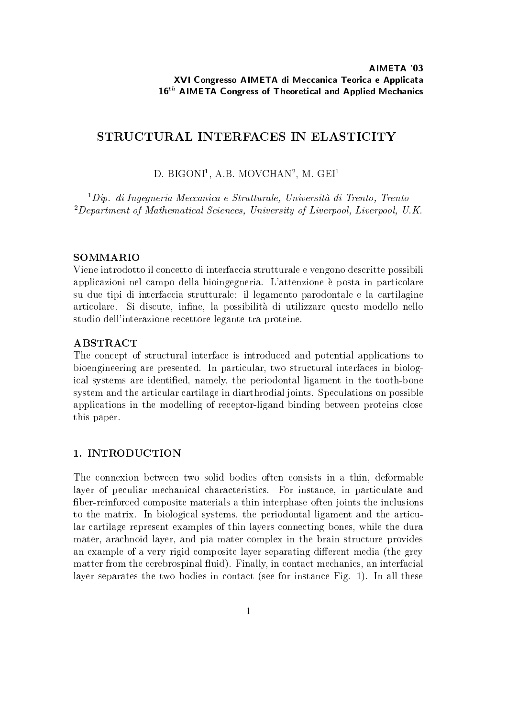## STRUCTURAL INTERFACES IN ELASTICITY

## D. BIGONI", A.D. MOVUHAN", M. GEIT

1Dip. di Ingegneria Meccanica <sup>e</sup> Strutturale, Universita di Trento, Trento 2Department of Mathematical Sciences, University of Liverpool, Liverpool, U.K.

## **SOMMARIO**

Viene introdotto il concetto di interfaccia strutturale e vengono descritte possibili applicazioni nel campo della bioingegneria. L'attenzione e posta in particolare su due tipi di interfaccia strutturale: il legamento parodontale e la cartilagine articolare. Si discute, infine, la possibilità di utilizzare questo modello nello studio dell'interazione recettore-legante tra proteine.

## **ABSTRACT**

The concept of structural interface is introduced and potential applications to bioengineering are presented. In particular, two structural interfaces in biological systems are identied, namely, the periodontal ligament in the tooth-bone system and the articular cartilage in diarthrodial joints. Speculations on possible applications in the modelling of receptor-ligand binding between proteins close this paper.

## 1. INTRODUCTION

The connexion between two solid bodies often consists in a thin, deformable layer of peculiar mechanical characteristics. For instance, in particulate and ber-reinforced composite materials a thin interphase often joints the inclusions to the matrix. In biological systems, the periodontal ligament and the articular cartilage represent examples of thin layers connecting bones, while the dura mater, arachnoid layer, and pia mater complex in the brain structure provides an example of a very rigid composite layer separating different media (the grey matter from the cerebrospinal fluid). Finally, in contact mechanics, an interfacial layer separates the two bodies in contact (see for instance Fig. 1). In all these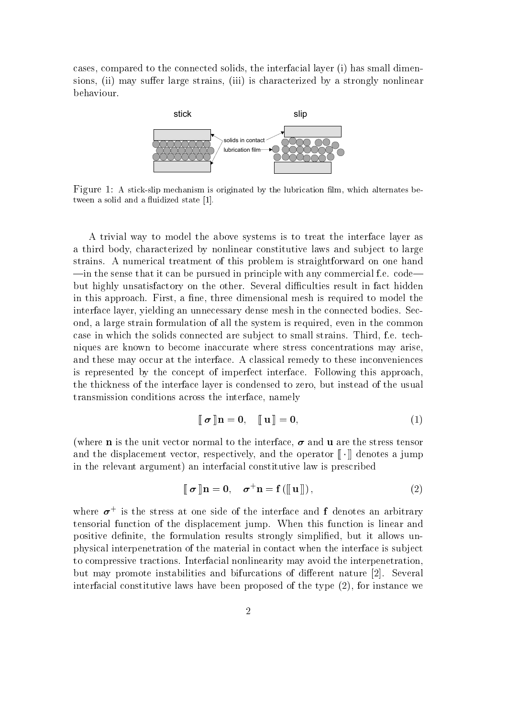cases, compared to the connected solids, the interfacial layer (i) has small dimensions, (ii) may suffer large strains, (iii) is characterized by a strongly nonlinear behaviour.



Figure 1: A stick-slip mechanism is originated by the lubrication film, which alternates between a solid and a fluidized state [1].

A trivial way to model the above systems is to treat the interface layer as a third body, characterized by nonlinear constitutive laws and subject to large strains. A numerical treatment of this problem is straightforward on one hand  $\frac{1}{\text{min}}$  the sense that it can be pursued in principle with any commercial f.e. code but highly unsatisfactory on the other. Several difficulties result in fact hidden in this approach. First, a fine, three dimensional mesh is required to model the interface layer, yielding an unnecessary dense mesh in the connected bodies. Second, a large strain formulation of all the system is required, even in the common case in which the solids connected are sub ject to small strains. Third, f.e. techniques are known to become inaccurate where stress concentrations may arise, and these may occur at the interface. A classical remedy to these inconveniences is represented by the concept of imperfect interface. Following this approach, the thickness of the interface layer is condensed to zero, but instead of the usual transmission conditions across the interface, namely

$$
\llbracket \boldsymbol{\sigma} \rrbracket \mathbf{n} = \mathbf{0}, \quad \llbracket \mathbf{u} \rrbracket = \mathbf{0}, \tag{1}
$$

(where **n** is the unit vector normal to the interface,  $\sigma$  and **u** are the stress tensor and the displacement vector, respectively, and the operator  $\llbracket \cdot \rrbracket$  denotes a jump in the relevant argument) an interfacial constitutive law is prescribed

$$
\llbracket \boldsymbol{\sigma} \rrbracket \mathbf{n} = \mathbf{0}, \quad \boldsymbol{\sigma}^+ \mathbf{n} = \mathbf{f}(\llbracket \mathbf{u} \rrbracket), \tag{2}
$$

where  $\sigma^+$  is the stress at one side of the interface and F denotes an arbitrary tensorial function of the displacement jump. When this function is linear and positive definite, the formulation results strongly simplified, but it allows unphysical interpenetration of the material in contact when the interface is sub ject to compressive tractions. Interfacial nonlinearity may avoid the interpenetration, but may promote instabilities and bifurcations of different nature [2]. Several interfacial constitutive laws have been proposed of the type (2), for instance we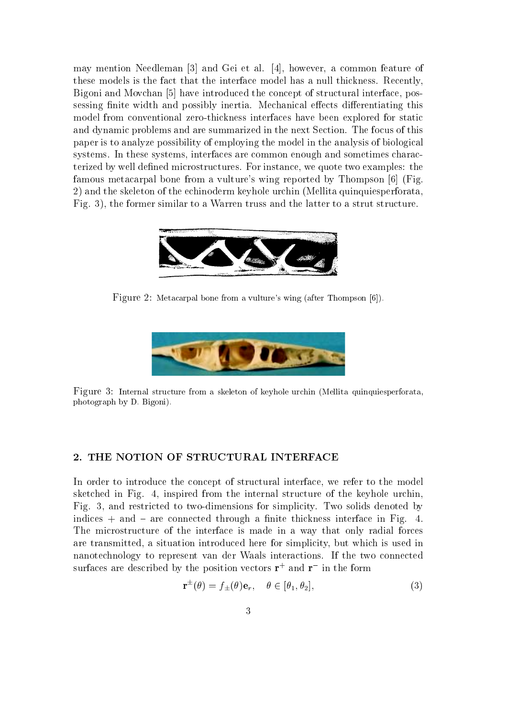may mention Needleman [3] and Gei et al. [4], however, a common feature of these models is the fact that the interface model has a null thickness. Recently, Bigoni and Movchan [5] have introduced the concept of structural interface, possessing finite width and possibly inertia. Mechanical effects differentiating this model from conventional zero-thickness interfaces have been explored for static and dynamic problems and are summarized in the next Section. The focus of this paper is to analyze possibility of employing the model in the analysis of biological systems. In these systems, interfaces are common enough and sometimes characterized by well dened microstructures. For instance, we quote two examples: the famous metacarpal bone from a vulture's wing reported by Thompson [6] (Fig. 2) and the skeleton of the echinoderm keyhole urchin (Mellita quinquiesperforata, Fig. 3), the former similar to a Warren truss and the latter to a strut structure.



Figure 2: Metacarpal bone from a vulture's wing (after Thompson [6]).



Figure 3: Internal structure from a skeleton of keyhole urchin (Mellita quinquiesperforata, photograph by D. Bigoni).

#### 2. THE NOTION OF STRUCTURAL INTERFACE

In order to introduce the concept of structural interface, we refer to the model sketched in Fig. 4, inspired from the internal structure of the keyhole urchin, Fig. 3, and restricted to two-dimensions for simplicity. Two solids denoted by indices  $+$  and  $-$  are connected through a finite thickness interface in Fig. 4. The microstructure of the interface is made in a way that only radial forces are transmitted, a situation introduced here for simplicity, but which is used in nanotechnology to represent van der Waals interactions. If the two connected surfaces are described by the position vectors  ${\bf r}_{\perp}$  and  ${\bf r}_{\perp}$  in the form

$$
\mathbf{r}^{\pm}(\theta) = f_{\pm}(\theta)\mathbf{e}_r, \quad \theta \in [\theta_1, \theta_2], \tag{3}
$$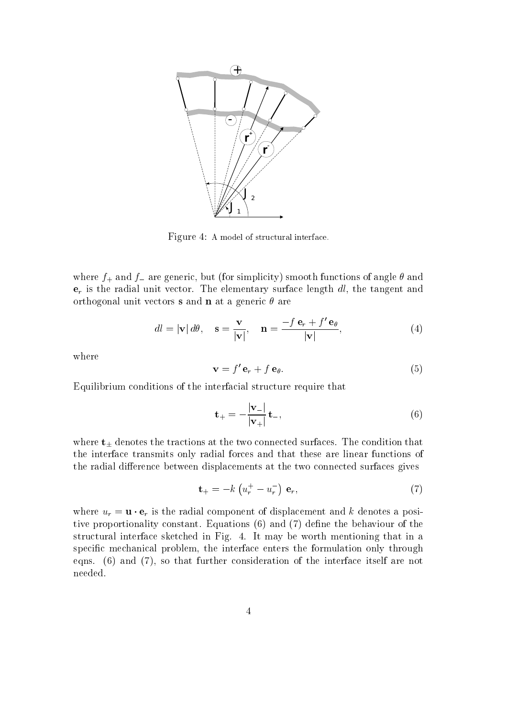

Figure 4: A model of structural interface.

where  $f_+$  and  $f_-$  are generic, but (for simplicity) smooth functions of angle  $\theta$  and  $e_r$  is the radial unit vector. The elementary surface length dl, the tangent and orthogonal unit vectors **s** and **n** at a generic  $\theta$  are

$$
dl = |\mathbf{v}| \, d\theta, \quad \mathbf{s} = \frac{\mathbf{v}}{|\mathbf{v}|}, \quad \mathbf{n} = \frac{-f \, \mathbf{e}_r + f' \, \mathbf{e}_\theta}{|\mathbf{v}|}, \tag{4}
$$

where

$$
\mathbf{v} = f' \mathbf{e}_r + f \mathbf{e}_\theta. \tag{5}
$$

Equilibrium conditions of the interfacial structure require that

$$
\mathbf{t}_{+} = -\frac{|\mathbf{v}_{-}|}{|\mathbf{v}_{+}|} \mathbf{t}_{-},\tag{6}
$$

where  $t_{\pm}$  denotes the tractions at the two connected surfaces. The condition that the interface transmits only radial forces and that these are linear functions of the radial difference between displacements at the two connected surfaces gives

$$
\mathbf{t}_{+} = -k \left( u_{r}^{+} - u_{r}^{-} \right) \, \mathbf{e}_{r}, \tag{7}
$$

where  $u_r = \mathbf{u} \cdot \mathbf{e}_r$  is the radial component of displacement and k denotes a positive proportionality constant. Equations  $(6)$  and  $(7)$  define the behaviour of the structural interface sketched in Fig. 4. It may be worth mentioning that in a specific mechanical problem, the interface enters the formulation only through eqns. (6) and (7), so that further consideration of the interface itself are not needed.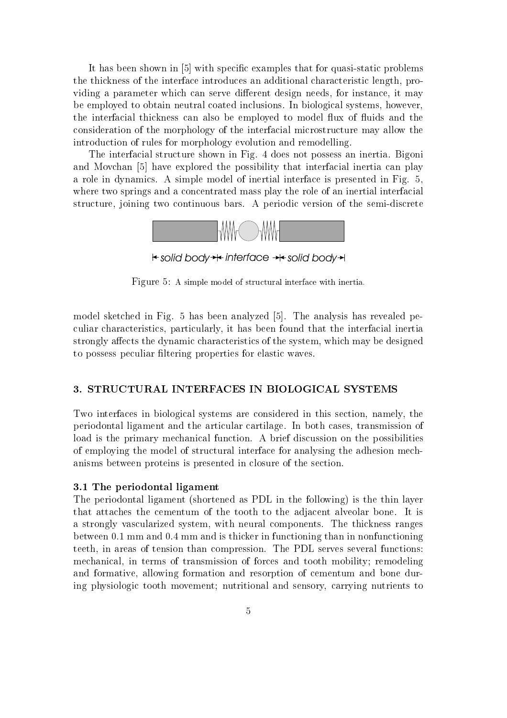It has been shown in [5] with specic examples that for quasi-static problems the thickness of the interface introduces an additional characteristic length, providing a parameter which can serve different design needs, for instance, it may be employed to obtain neutral coated inclusions. In biological systems, however, the interfacial thickness can also be employed to model flux of fluids and the consideration of the morphology of the interfacial microstructure may allow the introduction of rules for morphology evolution and remodelling.

The interfacial structure shown in Fig.4 does not possess an inertia. Bigoni and Movchan [5] have explored the possibility that interfacial inertia can play a role in dynamics. A simple model of inertial interface is presented in Fig. 5, where two springs and a concentrated mass play the role of an inertial interfacial structure, joining two continuous bars. A periodic version of the semi-discrete



**k-solid body→ interface → solid body→** 

Figure 5: A simple model of structural interface with inertia.

model sketched in Fig. 5 has been analyzed [5]. The analysis has revealed peculiar characteristics, particularly, it has been found that the interfacial inertia strongly affects the dynamic characteristics of the system, which may be designed to possess peculiar ltering properties for elastic waves.

## 3. STRUCTURAL INTERFACES IN BIOLOGICAL SYSTEMS

Two interfaces in biological systems are considered in this section, namely, the periodontal ligament and the articular cartilage. In both cases, transmission of load is the primary mechanical function. A brief discussion on the possibilities of employing the model of structural interface for analysing the adhesion mechanisms between proteins is presented in closure of the section.

#### 3.1 The periodontal ligament

The periodontal ligament (shortened as PDL in the following) is the thin layer that attaches the cementum of the tooth to the adjacent alveolar bone. It is a strongly vascularized system, with neural components. The thickness ranges between 0.1 mm and 0.4 mm and is thicker in functioning than in nonfunctioning teeth, in areas of tension than compression. The PDL serves several functions: mechanical, in terms of transmission of forces and tooth mobility; remodeling and formative, allowing formation and resorption of cementum and bone during physiologic tooth movement; nutritional and sensory, carrying nutrients to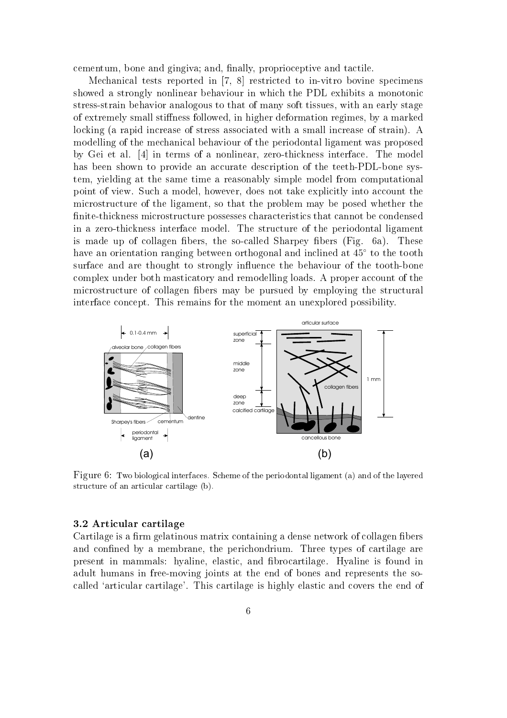cementum, bone and gingiva; and, finally, proprioceptive and tactile.

Mechanical tests reported in [7, 8] restricted to in-vitro bovine specimens showed a strongly nonlinear behaviour in which the PDL exhibits a monotonic stress-strain behavior analogous to that of many soft tissues, with an early stage of extremely small stiffness followed, in higher deformation regimes, by a marked locking (a rapid increase of stress associated with a small increase of strain). A modelling of the mechanical behaviour of the periodontal ligament was proposed by Gei et al. [4] in terms of a nonlinear, zero-thickness interface. The model has been shown to provide an accurate description of the teeth-PDL-bone system, yielding at the same time a reasonably simple model from computational point of view. Such a model, however, does not take explicitly into account the microstructure of the ligament, so that the problem may be posed whether the nite-thickness microstructure possesses characteristics that cannot be condensed in a zero-thickness interface model. The structure of the periodontal ligament is made up of collagen fibers, the so-called Sharpey fibers  $(Fig, 6a)$ . These have an orientation ranging between orthogonal and inclined at  $45^{\circ}$  to the tooth surface and are thought to strongly influence the behaviour of the tooth-bone complex under both masticatory and remodelling loads. A proper account of the microstructure of collagen fibers may be pursued by employing the structural interface concept. This remains for the moment an unexplored possibility.



Figure 6: Two biological interfaces. Scheme of the periodontal ligament (a) and of the layered structure of an articular cartilage (b).

#### 3.2 Articular cartilage

Cartilage is a firm gelatinous matrix containing a dense network of collagen fibers and confined by a membrane, the perichondrium. Three types of cartilage are present in mammals: hyaline, elastic, and brocartilage. Hyaline is found in adult humans in free-moving joints at the end of bones and represents the socalled `articular cartilage'. This cartilage is highly elastic and covers the end of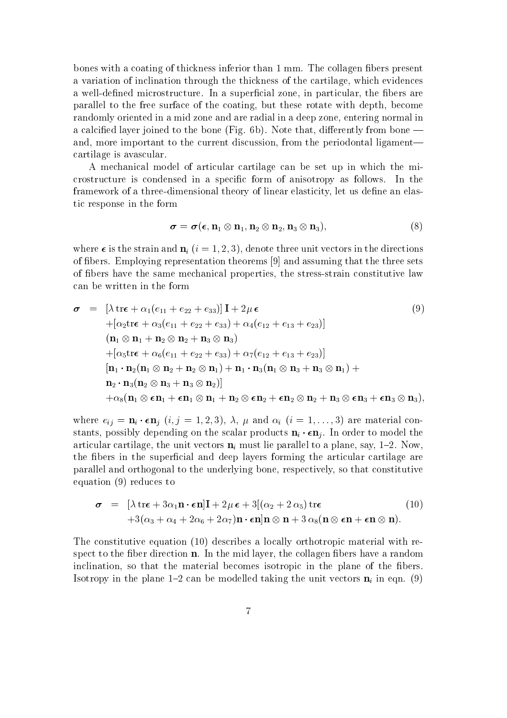bones with a coating of thickness inferior than 1 mm. The collagen fibers present a variation of inclination through the thickness of the cartilage, which evidences a well-defined microstructure. In a superficial zone, in particular, the fibers are parallel to the free surface of the coating, but these rotate with depth, become randomly oriented in a mid zone and are radial in a deep zone, entering normal in a calcified layer joined to the bone (Fig.  $6b$ ). Note that, differently from bone  $$ and, more important to the current discussion, from the periodontal ligament cartilage is avascular.

A mechanical model of articular cartilage can be set up in which the microstructure is condensed in a specic form of anisotropy as follows. In the framework of a three-dimensional theory of linear elasticity, let us define an elastic response in the form

$$
\boldsymbol{\sigma} = \boldsymbol{\sigma}(\boldsymbol{\epsilon},\mathbf{n}_1\otimes\mathbf{n}_1,\mathbf{n}_2\otimes\mathbf{n}_2,\mathbf{n}_3\otimes\mathbf{n}_3),\tag{8}
$$

where  $\epsilon$  is the strain and  $\mathbf{n}_i$  (i = 1, 2, 3), denote three unit vectors in the directions of bers. Employing representation theorems [9] and assuming that the three sets of bers have the same mechanical properties, the stress-strain constitutive law can be written in the form

$$
\boldsymbol{\sigma} = \left[ \lambda \operatorname{tr} \boldsymbol{\epsilon} + \alpha_1 (e_{11} + e_{22} + e_{33}) \right] \mathbf{I} + 2\mu \boldsymbol{\epsilon}
$$
\n
$$
+ \left[ \alpha_2 \operatorname{tr} \boldsymbol{\epsilon} + \alpha_3 (e_{11} + e_{22} + e_{33}) + \alpha_4 (e_{12} + e_{13} + e_{23}) \right]
$$
\n
$$
\left( \mathbf{n}_1 \otimes \mathbf{n}_1 + \mathbf{n}_2 \otimes \mathbf{n}_2 + \mathbf{n}_3 \otimes \mathbf{n}_3 \right)
$$
\n
$$
+ \left[ \alpha_5 \operatorname{tr} \boldsymbol{\epsilon} + \alpha_6 (e_{11} + e_{22} + e_{33}) + \alpha_7 (e_{12} + e_{13} + e_{23}) \right]
$$
\n
$$
\left[ \mathbf{n}_1 \cdot \mathbf{n}_2 (\mathbf{n}_1 \otimes \mathbf{n}_2 + \mathbf{n}_2 \otimes \mathbf{n}_1) + \mathbf{n}_1 \cdot \mathbf{n}_3 (\mathbf{n}_1 \otimes \mathbf{n}_3 + \mathbf{n}_3 \otimes \mathbf{n}_1) + \mathbf{n}_2 \cdot \mathbf{n}_3 (\mathbf{n}_2 \otimes \mathbf{n}_3 + \mathbf{n}_3 \otimes \mathbf{n}_2) \right]
$$
\n
$$
+ \alpha_8 (\mathbf{n}_1 \otimes \mathbf{\epsilon} \mathbf{n}_1 + \mathbf{\epsilon} \mathbf{n}_1 \otimes \mathbf{n}_1 + \mathbf{n}_2 \otimes \mathbf{\epsilon} \mathbf{n}_2 + \mathbf{\epsilon} \mathbf{n}_2 \otimes \mathbf{n}_2 + \mathbf{n}_3 \otimes \mathbf{\epsilon} \mathbf{n}_3 + \mathbf{\epsilon} \mathbf{n}_3 \otimes \mathbf{n}_3),
$$

where  $e_{ij} = \mathbf{n}_i \cdot \epsilon \mathbf{n}_j$   $(i, j = 1, 2, 3), \lambda, \mu$  and  $\alpha_i$   $(i = 1, \ldots, 3)$  are material constants, possibly depending on the scalar products  $\mathbf{n}_i \cdot \epsilon \mathbf{n}_j$ . In order to model the articular cartilage, the unit vectors  $\mathbf{n}_i$  must lie parallel to a plane, say, 1-2. Now, the fibers in the superficial and deep layers forming the articular cartilage are parallel and orthogonal to the underlying bone, respectively, so that constitutive equation (9) reduces to

$$
\boldsymbol{\sigma} = [\lambda \operatorname{tr} \boldsymbol{\epsilon} + 3\alpha_1 \mathbf{n} \cdot \boldsymbol{\epsilon} \mathbf{n}] \mathbf{I} + 2\mu \boldsymbol{\epsilon} + 3[(\alpha_2 + 2 \alpha_5) \operatorname{tr} \boldsymbol{\epsilon} \qquad (10) +3(\alpha_3 + \alpha_4 + 2\alpha_6 + 2\alpha_7) \mathbf{n} \cdot \boldsymbol{\epsilon} \mathbf{n}] \mathbf{n} \otimes \mathbf{n} + 3 \alpha_8 (\mathbf{n} \otimes \boldsymbol{\epsilon} \mathbf{n} + \boldsymbol{\epsilon} \mathbf{n} \otimes \mathbf{n}).
$$

The constitutive equation (10) describes a locally orthotropic material with respect to the fiber direction  $n$ . In the mid layer, the collagen fibers have a random inclination, so that the material becomes isotropic in the plane of the bers. Isotropy in the plane 1-2 can be modelled taking the unit vectors  $\mathbf{n}_i$  in eqn. (9)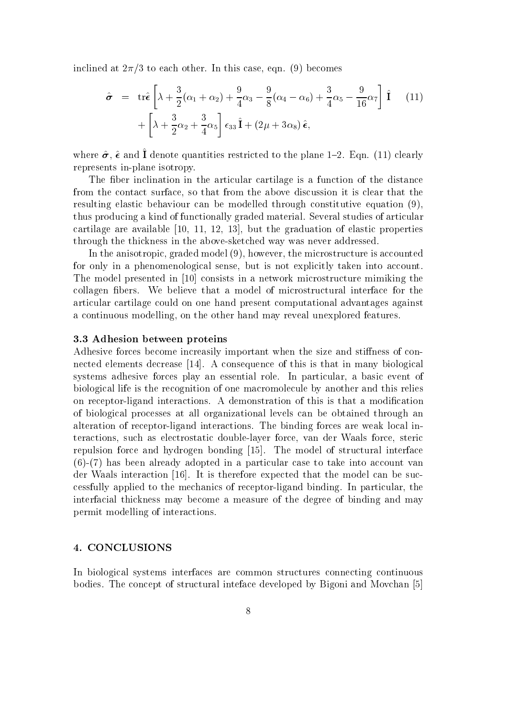inclined at  $2\pi/3$  to each other. In this case, eqn. (9) becomes

$$
\hat{\sigma} = \text{tr}\hat{\epsilon} \left[ \lambda + \frac{3}{2} (\alpha_1 + \alpha_2) + \frac{9}{4} \alpha_3 - \frac{9}{8} (\alpha_4 - \alpha_6) + \frac{3}{4} \alpha_5 - \frac{9}{16} \alpha_7 \right] \hat{\mathbf{I}} \quad (11)
$$

$$
+ \left[ \lambda + \frac{3}{2} \alpha_2 + \frac{3}{4} \alpha_5 \right] \epsilon_{33} \hat{\mathbf{I}} + (2\mu + 3\alpha_8) \hat{\epsilon},
$$

where  $\sigma$ ,  $\epsilon$  and  $\bf{r}$  denote quantities restricted to the plane 1  $\bf{2}$ . Eqn. (11) clearly represents in-plane isotropy.

The fiber inclination in the articular cartilage is a function of the distance from the contact surface, so that from the above discussion it is clear that the resulting elastic behaviour can be modelled through constitutive equation (9), thus producing a kind of functionally graded material. Several studies of articular cartilage are available [10, 11, 12, 13], but the graduation of elastic properties through the thickness in the above-sketched way was never addressed.

In the anisotropic, graded model (9), however, the microstructure is accounted for only in a phenomenological sense, but is not explicitly taken into account. The model presented in [10] consists in a network microstructure mimiking the collagen bers. We believe that a model of microstructural interface for the articular cartilage could on one hand present computational advantages against a continuous modelling, on the other hand may reveal unexplored features.

#### 3.3 Adhesion between proteins

Adhesive forces become increasily important when the size and stiffness of connected elements decrease [14]. A consequence of this is that in many biological systems adhesive forces play an essential role. In particular, a basic event of biological life is the recognition of one macromolecule by another and this relies on receptor-ligand interactions. A demonstration of this is that a modication of biological processes at all organizational levels can be obtained through an alteration of receptor-ligand interactions. The binding forces are weak local interactions, such as electrostatic double-layer force, van der Waals force, steric repulsion force and hydrogen bonding [15]. The model of structural interface (6)-(7) has been already adopted in a particular case to take into account van der Waals interaction [16]. It is therefore expected that the model can be successfully applied to the mechanics of receptor-ligand binding. In particular, the interfacial thickness may become a measure of the degree of binding and may permit modelling of interactions.

#### 4. CONCLUSIONS

In biological systems interfaces are common structures connecting continuous bodies. The concept of structural inteface developed by Bigoni and Movchan [5]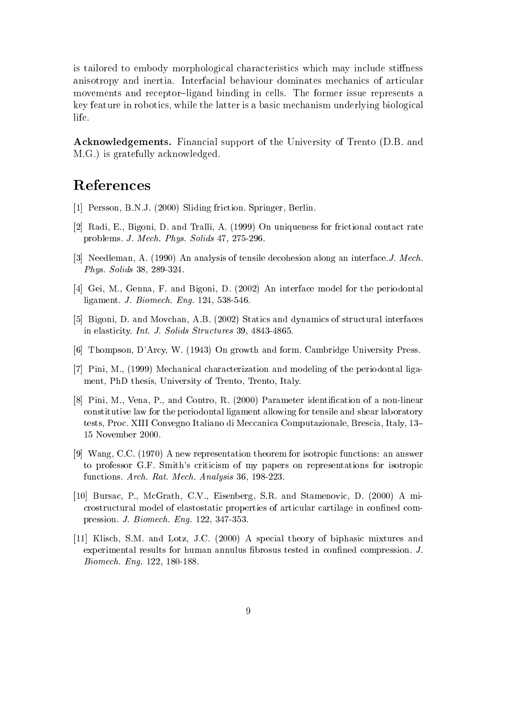is tailored to embody morphological characteristics which may include stiffness anisotropy and inertia. Interfacial behaviour dominates mechanics of articular movements and receptor-ligand binding in cells. The former issue represents a key feature in robotics, while the latter is a basic mechanism underlying biological life.

Acknowledgements. Financial support of the University of Trento (D.B. and M.G.) is gratefully acknowledged.

# References

- [1] Persson, B.N.J. (2000) Sliding friction. Springer, Berlin.
- [2] Radi, E., Bigoni, D. and Tralli, A. (1999) On uniqueness for frictional contact rate problems. J. Mech. Phys. Solids 47, 275-296.
- [3] Needleman, A. (1990) An analysis of tensile decohesion along an interface.J. Mech. Phys. Solids 38, 289-324.
- [4] Gei, M., Genna, F. and Bigoni, D. (2002) An interface model for the periodontal ligament. J. Biomech. Eng. 124, 538-546.
- [5] Bigoni, D. and Movchan, A.B. (2002) Statics and dynamics of structural interfaces in elasticity. Int. J. Solids Structures 39, 4843-4865.
- [6] Thompson, D'Arcy, W. (1943) On growth and form. Cambridge University Press.
- [7] Pini, M., (1999) Mechanical characterization and modeling of the periodontal ligament, PhD thesis, University of Trento, Trento, Italy.
- [8] Pini, M., Vena, P., and Contro, R. (2000) Parameter identification of a non-linear constitutive law for the periodontal ligament allowing for tensile and shear laboratory tests, Proc. XIII Convegno Italiano di Meccanica Computazionale, Brescia, Italy, 13{ 15 November 2000.
- [9] Wang, C.C. (1970) A new representation theorem for isotropic functions: an answer to professor G.F. Smith's criticism of my papers on representations for isotropic functions. Arch. Rat. Mech. Analysis 36, 198-223.
- [10] Bursac, P., McGrath, C.V., Eisenberg, S.R. and Stamenovic, D. (2000) A microstructural model of elastostatic properties of articular cartilage in conned compression. J. Biomech. Eng. 122, 347-353.
- [11] Klisch, S.M. and Lotz, J.C. (2000) A specialtheory of biphasic mixtures and experimental results for human annulus fibrosus tested in confined compression. J. Biomech. Eng. 122, 180-188.